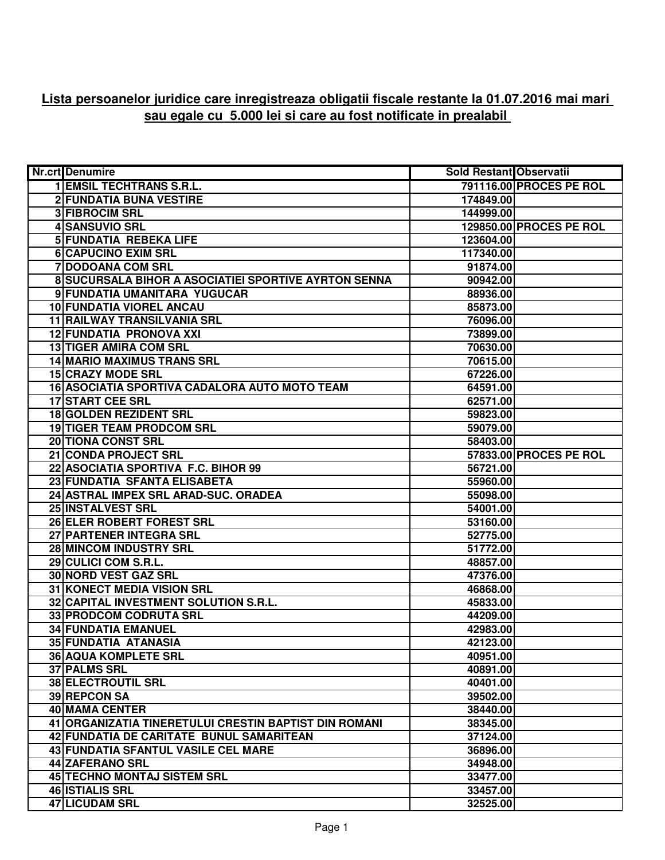## **Lista persoanelor juridice care inregistreaza obligatii fiscale restante la 01.07.2016 mai mari sau egale cu 5.000 lei si care au fost notificate in prealabil**

| <b>Nr.crt</b> Denumire                                | <b>Sold Restant Observatii</b> |                         |
|-------------------------------------------------------|--------------------------------|-------------------------|
| <b>1 EMSIL TECHTRANS S.R.L.</b>                       |                                | 791116.00 PROCES PE ROL |
| 2 FUNDATIA BUNA VESTIRE                               | 174849.00                      |                         |
| <b>3 FIBROCIM SRL</b>                                 | 144999.00                      |                         |
| 4 SANSUVIO SRL                                        |                                | 129850.00 PROCES PE ROL |
| <b>5 FUNDATIA REBEKA LIFE</b>                         | 123604.00                      |                         |
| <b>6 CAPUCINO EXIM SRL</b>                            | 117340.00                      |                         |
| <b>7 DODOANA COM SRL</b>                              | 91874.00                       |                         |
| 8 SUCURSALA BIHOR A ASOCIATIEI SPORTIVE AYRTON SENNA  | 90942.00                       |                         |
| 9 FUNDATIA UMANITARA YUGUCAR                          | 88936.00                       |                         |
| <b>10 FUNDATIA VIOREL ANCAU</b>                       | 85873.00                       |                         |
| 11 RAILWAY TRANSILVANIA SRL                           | 76096.00                       |                         |
| 12 FUNDATIA PRONOVA XXI                               | 73899.00                       |                         |
| 13 TIGER AMIRA COM SRL                                | 70630.00                       |                         |
| <b>14 MARIO MAXIMUS TRANS SRL</b>                     | 70615.00                       |                         |
| <b>15 CRAZY MODE SRL</b>                              | 67226.00                       |                         |
| 16 ASOCIATIA SPORTIVA CADALORA AUTO MOTO TEAM         | 64591.00                       |                         |
| <b>17 START CEE SRL</b>                               | 62571.00                       |                         |
| 18 GOLDEN REZIDENT SRL                                | 59823.00                       |                         |
| <b>19 TIGER TEAM PRODCOM SRL</b>                      | 59079.00                       |                         |
| <b>20 TIONA CONST SRL</b>                             | 58403.00                       |                         |
| 21 CONDA PROJECT SRL                                  |                                | 57833.00 PROCES PE ROL  |
| 22 ASOCIATIA SPORTIVA F.C. BIHOR 99                   | 56721.00                       |                         |
| 23 FUNDATIA SFANTA ELISABETA                          | 55960.00                       |                         |
| 24 ASTRAL IMPEX SRL ARAD-SUC. ORADEA                  | 55098.00                       |                         |
| 25 INSTALVEST SRL                                     | 54001.00                       |                         |
| 26 ELER ROBERT FOREST SRL                             | 53160.00                       |                         |
| 27 PARTENER INTEGRA SRL                               | 52775.00                       |                         |
| 28 MINCOM INDUSTRY SRL                                | 51772.00                       |                         |
| 29 CULICI COM S.R.L.                                  | 48857.00                       |                         |
| 30 NORD VEST GAZ SRL                                  | 47376.00                       |                         |
| 31 KONECT MEDIA VISION SRL                            | 46868.00                       |                         |
| 32 CAPITAL INVESTMENT SOLUTION S.R.L.                 | 45833.00                       |                         |
| 33 PRODCOM CODRUTA SRL                                | 44209.00                       |                         |
| <b>34 FUNDATIA EMANUEL</b>                            | 42983.00                       |                         |
| 35 FUNDATIA ATANASIA                                  | 42123.00                       |                         |
| <b>36 AQUA KOMPLETE SRL</b>                           | 40951.00                       |                         |
| <b>37 PALMS SRL</b>                                   | 40891.00                       |                         |
| <b>38 ELECTROUTIL SRL</b>                             | 40401.00                       |                         |
| 39 REPCON SA                                          | 39502.00                       |                         |
| 40 MAMA CENTER                                        | 38440.00                       |                         |
| 41 ORGANIZATIA TINERETULUI CRESTIN BAPTIST DIN ROMANI | 38345.00                       |                         |
| 42 FUNDATIA DE CARITATE BUNUL SAMARITEAN              | 37124.00                       |                         |
| 43 FUNDATIA SFANTUL VASILE CEL MARE                   | 36896.00                       |                         |
| <b>44 ZAFERANO SRL</b>                                | 34948.00                       |                         |
| <b>45 TECHNO MONTAJ SISTEM SRL</b>                    | 33477.00                       |                         |
| <b>46 ISTIALIS SRL</b>                                | 33457.00                       |                         |
| 47 LICUDAM SRL                                        | 32525.00                       |                         |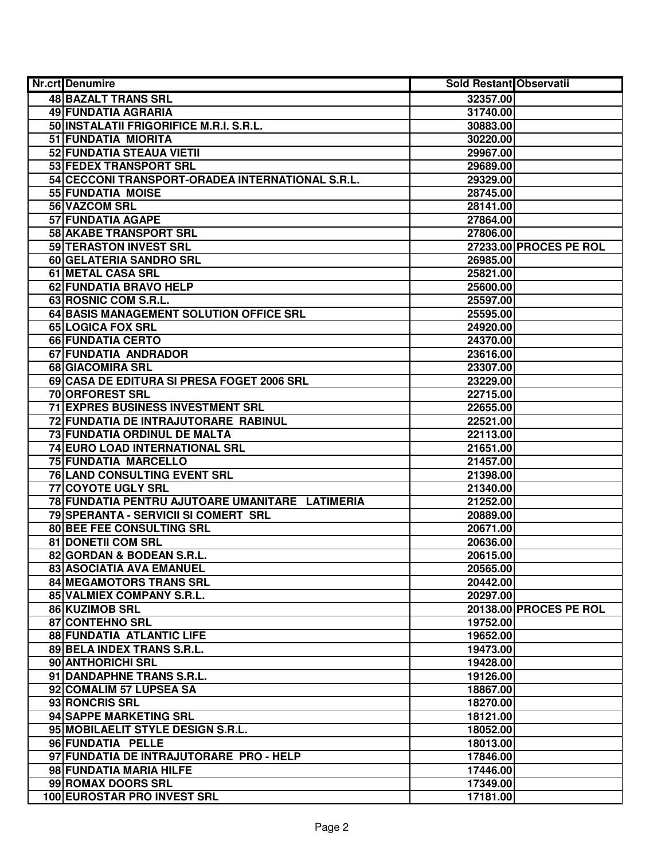| Nr.crt Denumire                                  | <b>Sold Restant Observatii</b> |                        |
|--------------------------------------------------|--------------------------------|------------------------|
| <b>48 BAZALT TRANS SRL</b>                       | 32357.00                       |                        |
| <b>49 FUNDATIA AGRARIA</b>                       | 31740.00                       |                        |
| 50 INSTALATII FRIGORIFICE M.R.I. S.R.L.          | 30883.00                       |                        |
| 51 FUNDATIA MIORITA                              | 30220.00                       |                        |
| 52 FUNDATIA STEAUA VIETII                        | 29967.00                       |                        |
| 53 FEDEX TRANSPORT SRL                           | 29689.00                       |                        |
| 54 CECCONI TRANSPORT-ORADEA INTERNATIONAL S.R.L. | 29329.00                       |                        |
| 55 FUNDATIA MOISE                                | 28745.00                       |                        |
| 56 VAZCOM SRL                                    | 28141.00                       |                        |
| <b>57 FUNDATIA AGAPE</b>                         | 27864.00                       |                        |
| <b>58 AKABE TRANSPORT SRL</b>                    | 27806.00                       |                        |
| 59 TERASTON INVEST SRL                           |                                | 27233.00 PROCES PE ROL |
| 60 GELATERIA SANDRO SRL                          | 26985.00                       |                        |
| 61 METAL CASA SRL                                | 25821.00                       |                        |
| 62 FUNDATIA BRAVO HELP                           | 25600.00                       |                        |
| 63 ROSNIC COM S.R.L.                             | 25597.00                       |                        |
| 64 BASIS MANAGEMENT SOLUTION OFFICE SRL          | 25595.00                       |                        |
| 65 LOGICA FOX SRL                                | 24920.00                       |                        |
| 66 FUNDATIA CERTO                                | 24370.00                       |                        |
| 67 FUNDATIA ANDRADOR                             | 23616.00                       |                        |
| 68 GIACOMIRA SRL                                 | 23307.00                       |                        |
| 69 CASA DE EDITURA SI PRESA FOGET 2006 SRL       | 23229.00                       |                        |
| 70 ORFOREST SRL                                  | 22715.00                       |                        |
| <b>71 EXPRES BUSINESS INVESTMENT SRL</b>         | 22655.00                       |                        |
| 72 FUNDATIA DE INTRAJUTORARE RABINUL             | 22521.00                       |                        |
| 73 FUNDATIA ORDINUL DE MALTA                     | 22113.00                       |                        |
| 74 EURO LOAD INTERNATIONAL SRL                   | 21651.00                       |                        |
| 75 FUNDATIA MARCELLO                             | 21457.00                       |                        |
| 76 LAND CONSULTING EVENT SRL                     | 21398.00                       |                        |
| 77 COYOTE UGLY SRL                               | 21340.00                       |                        |
| 78 FUNDATIA PENTRU AJUTOARE UMANITARE LATIMERIA  | 21252.00                       |                        |
| 79 SPERANTA - SERVICII SI COMERT SRL             | 20889.00                       |                        |
| 80 BEE FEE CONSULTING SRL                        | 20671.00                       |                        |
| 81 DONETII COM SRL                               | 20636.00                       |                        |
| 82 GORDAN & BODEAN S.R.L.                        | 20615.00                       |                        |
| 83 ASOCIATIA AVA EMANUEL                         | 20565.00                       |                        |
| 84 MEGAMOTORS TRANS SRL                          | 20442.00                       |                        |
| 85 VALMIEX COMPANY S.R.L.                        | 20297.00                       |                        |
| 86 KUZIMOB SRL<br>87 CONTEHNO SRL                | 19752.00                       | 20138.00 PROCES PE ROL |
| 88 FUNDATIA ATLANTIC LIFE                        | 19652.00                       |                        |
| 89 BELA INDEX TRANS S.R.L.                       | 19473.00                       |                        |
| 90 ANTHORICHI SRL                                | 19428.00                       |                        |
| 91 DANDAPHNE TRANS S.R.L.                        | 19126.00                       |                        |
| 92 COMALIM 57 LUPSEA SA                          | 18867.00                       |                        |
| 93 RONCRIS SRL                                   | 18270.00                       |                        |
| 94 SAPPE MARKETING SRL                           | 18121.00                       |                        |
| 95 MOBILAELIT STYLE DESIGN S.R.L.                | 18052.00                       |                        |
| 96 FUNDATIA PELLE                                | 18013.00                       |                        |
| 97 FUNDATIA DE INTRAJUTORARE PRO - HELP          | 17846.00                       |                        |
| 98 FUNDATIA MARIA HILFE                          | 17446.00                       |                        |
| 99 ROMAX DOORS SRL                               | 17349.00                       |                        |
| 100 EUROSTAR PRO INVEST SRL                      | 17181.00                       |                        |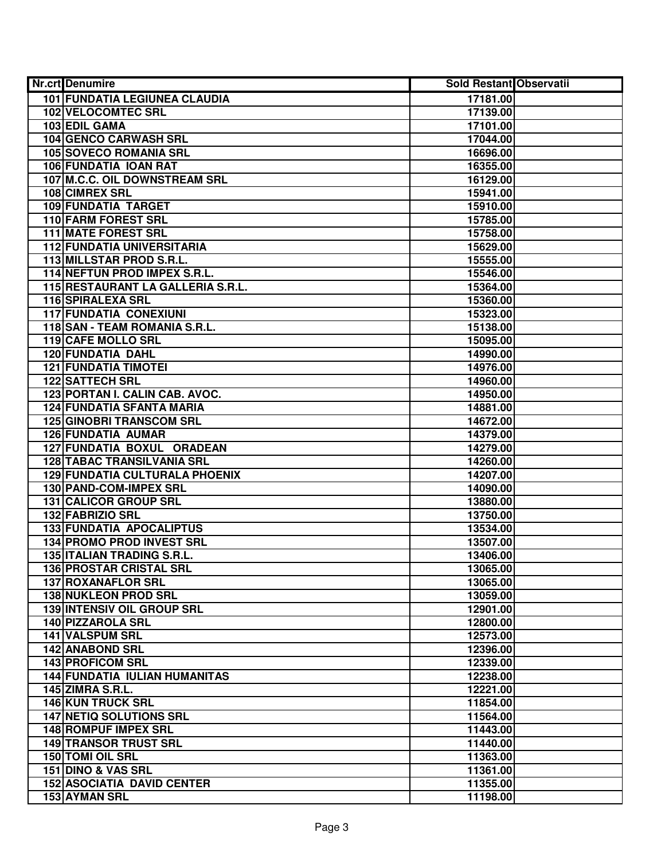| <b>Nr.crt</b> Denumire               | <b>Sold Restant Observatii</b> |  |
|--------------------------------------|--------------------------------|--|
| 101 FUNDATIA LEGIUNEA CLAUDIA        | 17181.00                       |  |
| <b>102 VELOCOMTEC SRL</b>            | 17139.00                       |  |
| 103 EDIL GAMA                        | 17101.00                       |  |
| <b>104 GENCO CARWASH SRL</b>         | 17044.00                       |  |
| 105 SOVECO ROMANIA SRL               | 16696.00                       |  |
| <b>106 FUNDATIA IOAN RAT</b>         | 16355.00                       |  |
| 107 M.C.C. OIL DOWNSTREAM SRL        | 16129.00                       |  |
| 108 CIMREX SRL                       | 15941.00                       |  |
| <b>109 FUNDATIA TARGET</b>           | 15910.00                       |  |
| <b>110 FARM FOREST SRL</b>           | 15785.00                       |  |
| <b>111 MATE FOREST SRL</b>           | 15758.00                       |  |
| <b>112 FUNDATIA UNIVERSITARIA</b>    | 15629.00                       |  |
| 113 MILLSTAR PROD S.R.L.             | 15555.00                       |  |
| 114 NEFTUN PROD IMPEX S.R.L.         | 15546.00                       |  |
| 115 RESTAURANT LA GALLERIA S.R.L.    | 15364.00                       |  |
| <b>116 SPIRALEXA SRL</b>             | 15360.00                       |  |
| <b>117 FUNDATIA CONEXIUNI</b>        | 15323.00                       |  |
| 118 SAN - TEAM ROMANIA S.R.L.        | 15138.00                       |  |
| 119 CAFE MOLLO SRL                   | 15095.00                       |  |
| 120 FUNDATIA DAHL                    | 14990.00                       |  |
| <b>121 FUNDATIA TIMOTEI</b>          | 14976.00                       |  |
| <b>122 SATTECH SRL</b>               | 14960.00                       |  |
| 123 PORTAN I. CALIN CAB. AVOC.       | 14950.00                       |  |
| <b>124 FUNDATIA SFANTA MARIA</b>     | 14881.00                       |  |
| <b>125 GINOBRI TRANSCOM SRL</b>      | 14672.00                       |  |
| <b>126 FUNDATIA AUMAR</b>            | 14379.00                       |  |
| 127 FUNDATIA BOXUL ORADEAN           | 14279.00                       |  |
| <b>128 TABAC TRANSILVANIA SRL</b>    | 14260.00                       |  |
| 129 FUNDATIA CULTURALA PHOENIX       | 14207.00                       |  |
| 130 PAND-COM-IMPEX SRL               | 14090.00                       |  |
| 131 CALICOR GROUP SRL                | 13880.00                       |  |
| 132 FABRIZIO SRL                     | 13750.00                       |  |
| 133 FUNDATIA APOCALIPTUS             | 13534.00                       |  |
| <b>134 PROMO PROD INVEST SRL</b>     | 13507.00                       |  |
| <b>135 ITALIAN TRADING S.R.L.</b>    | 13406.00                       |  |
| 136 PROSTAR CRISTAL SRL              | 13065.00                       |  |
| 137 ROXANAFLOR SRL                   | 13065.00                       |  |
| <b>138 NUKLEON PROD SRL</b>          | 13059.00                       |  |
| <b>139 INTENSIV OIL GROUP SRL</b>    | 12901.00                       |  |
| 140 PIZZAROLA SRL                    | 12800.00                       |  |
| 141 VALSPUM SRL                      | 12573.00                       |  |
| <b>142 ANABOND SRL</b>               | 12396.00                       |  |
| <b>143 PROFICOM SRL</b>              | 12339.00                       |  |
| <b>144 FUNDATIA IULIAN HUMANITAS</b> | 12238.00                       |  |
| <b>145 ZIMRA S.R.L.</b>              | 12221.00                       |  |
| 146 KUN TRUCK SRL                    | 11854.00                       |  |
| <b>147 NETIQ SOLUTIONS SRL</b>       | 11564.00                       |  |
| 148 ROMPUF IMPEX SRL                 | 11443.00                       |  |
| <b>149 TRANSOR TRUST SRL</b>         | 11440.00                       |  |
| 150 TOMI OIL SRL                     | 11363.00                       |  |
| 151 DINO & VAS SRL                   | 11361.00                       |  |
| <b>152 ASOCIATIA DAVID CENTER</b>    | 11355.00                       |  |
| 153 AYMAN SRL                        | 11198.00                       |  |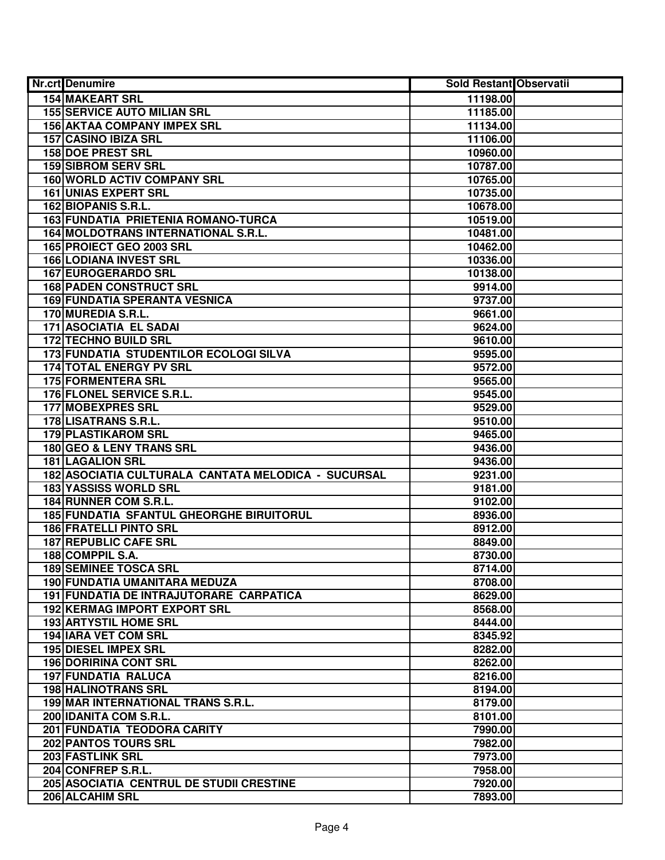| Nr.crt Denumire                                     | <b>Sold Restant Observatii</b> |  |
|-----------------------------------------------------|--------------------------------|--|
| <b>154 MAKEART SRL</b>                              | 11198.00                       |  |
| <b>155 SERVICE AUTO MILIAN SRL</b>                  | 11185.00                       |  |
| <b>156 AKTAA COMPANY IMPEX SRL</b>                  | 11134.00                       |  |
| 157 CASINO IBIZA SRL                                | 11106.00                       |  |
| <b>158 DOE PREST SRL</b>                            | 10960.00                       |  |
| <b>159 SIBROM SERV SRL</b>                          | 10787.00                       |  |
| 160 WORLD ACTIV COMPANY SRL                         | 10765.00                       |  |
| <b>161 UNIAS EXPERT SRL</b>                         | 10735.00                       |  |
| 162 BIOPANIS S.R.L.                                 | 10678.00                       |  |
| 163 FUNDATIA PRIETENIA ROMANO-TURCA                 | 10519.00                       |  |
| 164 MOLDOTRANS INTERNATIONAL S.R.L.                 | 10481.00                       |  |
| 165 PROIECT GEO 2003 SRL                            | 10462.00                       |  |
| <b>166 LODIANA INVEST SRL</b>                       | 10336.00                       |  |
| 167 EUROGERARDO SRL                                 | 10138.00                       |  |
| <b>168 PADEN CONSTRUCT SRL</b>                      | 9914.00                        |  |
| <b>169 FUNDATIA SPERANTA VESNICA</b>                | 9737.00                        |  |
| 170 MUREDIA S.R.L.                                  | 9661.00                        |  |
| 171 ASOCIATIA EL SADAI                              | 9624.00                        |  |
| <b>172 TECHNO BUILD SRL</b>                         | 9610.00                        |  |
| 173 FUNDATIA STUDENTILOR ECOLOGI SILVA              | 9595.00                        |  |
| <b>174 TOTAL ENERGY PV SRL</b>                      | 9572.00                        |  |
| 175 FORMENTERA SRL                                  | 9565.00                        |  |
| 176 FLONEL SERVICE S.R.L.                           | 9545.00                        |  |
| <b>177 MOBEXPRES SRL</b>                            | 9529.00                        |  |
| 178 LISATRANS S.R.L.                                | 9510.00                        |  |
| 179 PLASTIKAROM SRL                                 | 9465.00                        |  |
| 180 GEO & LENY TRANS SRL                            | 9436.00                        |  |
| <b>181 LAGALION SRL</b>                             | 9436.00                        |  |
| 182 ASOCIATIA CULTURALA CANTATA MELODICA - SUCURSAL | 9231.00                        |  |
| 183 YASSISS WORLD SRL                               | 9181.00                        |  |
| 184 RUNNER COM S.R.L.                               | 9102.00                        |  |
| 185 FUNDATIA SFANTUL GHEORGHE BIRUITORUL            | 8936.00                        |  |
| <b>186 FRATELLI PINTO SRL</b>                       | 8912.00                        |  |
| <b>187 REPUBLIC CAFE SRL</b>                        | 8849.00                        |  |
| 188 COMPPIL S.A.                                    | 8730.00                        |  |
| <b>189 SEMINEE TOSCA SRL</b>                        | 8714.00                        |  |
| <b>190 FUNDATIA UMANITARA MEDUZA</b>                | 8708.00                        |  |
| <b>191 FUNDATIA DE INTRAJUTORARE CARPATICA</b>      | 8629.00                        |  |
| <b>192 KERMAG IMPORT EXPORT SRL</b>                 | 8568.00                        |  |
| <b>193 ARTYSTIL HOME SRL</b>                        | 8444.00                        |  |
| 194 IARA VET COM SRL                                | 8345.92                        |  |
| 195 DIESEL IMPEX SRL                                | 8282.00                        |  |
| <b>196 DORIRINA CONT SRL</b>                        | 8262.00                        |  |
| 197 FUNDATIA RALUCA                                 | 8216.00                        |  |
| <b>198 HALINOTRANS SRL</b>                          | 8194.00                        |  |
| 199 MAR INTERNATIONAL TRANS S.R.L.                  | 8179.00                        |  |
| 200 IDANITA COM S.R.L.                              | 8101.00                        |  |
| 201 FUNDATIA TEODORA CARITY                         | 7990.00                        |  |
| 202 PANTOS TOURS SRL                                | 7982.00                        |  |
| 203 FASTLINK SRL                                    | 7973.00                        |  |
| 204 CONFREP S.R.L.                                  | 7958.00                        |  |
| 205 ASOCIATIA CENTRUL DE STUDII CRESTINE            | 7920.00                        |  |
| 206 ALCAHIM SRL                                     | 7893.00                        |  |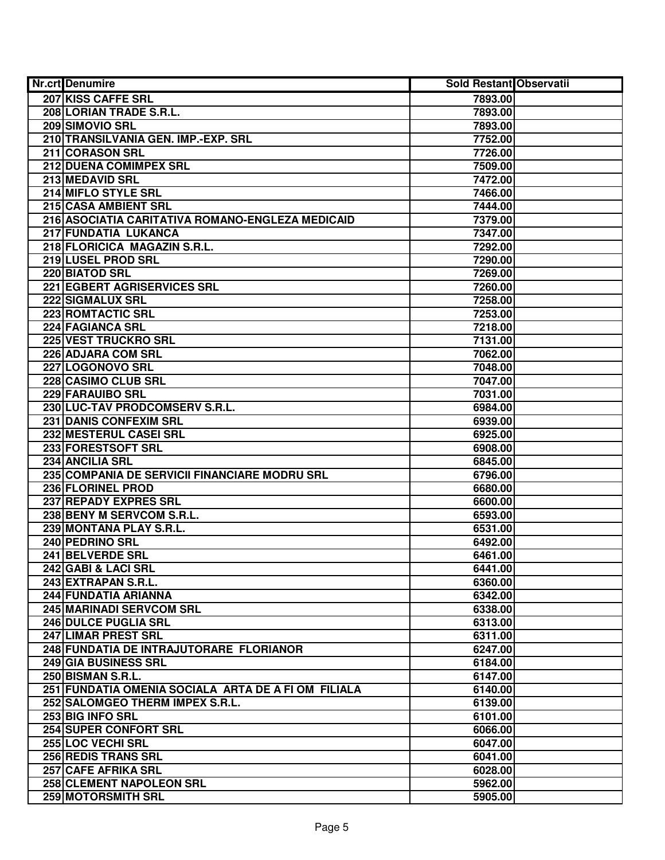| Nr.crt Denumire                                     | <b>Sold Restant Observatii</b> |  |
|-----------------------------------------------------|--------------------------------|--|
| 207 KISS CAFFE SRL                                  | 7893.00                        |  |
| 208 LORIAN TRADE S.R.L.                             | 7893.00                        |  |
| 209 SIMOVIO SRL                                     | 7893.00                        |  |
| 210 TRANSILVANIA GEN. IMP.-EXP. SRL                 | 7752.00                        |  |
| 211 CORASON SRL                                     | 7726.00                        |  |
| 212 DUENA COMIMPEX SRL                              | 7509.00                        |  |
| <b>213 MEDAVID SRL</b>                              | 7472.00                        |  |
| 214 MIFLO STYLE SRL                                 | 7466.00                        |  |
| 215 CASA AMBIENT SRL                                | 7444.00                        |  |
| 216 ASOCIATIA CARITATIVA ROMANO-ENGLEZA MEDICAID    | 7379.00                        |  |
| 217 FUNDATIA LUKANCA                                | 7347.00                        |  |
| 218 FLORICICA MAGAZIN S.R.L.                        | 7292.00                        |  |
| 219 LUSEL PROD SRL                                  | 7290.00                        |  |
| 220 BIATOD SRL                                      | 7269.00                        |  |
| 221 EGBERT AGRISERVICES SRL                         | 7260.00                        |  |
| 222 SIGMALUX SRL                                    | 7258.00                        |  |
| 223 ROMTACTIC SRL                                   | 7253.00                        |  |
| 224 FAGIANCA SRL                                    | 7218.00                        |  |
| 225 VEST TRUCKRO SRL                                | 7131.00                        |  |
| 226 ADJARA COM SRL                                  | 7062.00                        |  |
| 227 LOGONOVO SRL                                    | 7048.00                        |  |
| 228 CASIMO CLUB SRL                                 | 7047.00                        |  |
| 229 FARAUIBO SRL                                    | 7031.00                        |  |
| 230 LUC-TAV PRODCOMSERV S.R.L.                      | 6984.00                        |  |
| 231 DANIS CONFEXIM SRL                              | 6939.00                        |  |
| 232 MESTERUL CASEI SRL                              | 6925.00                        |  |
| 233 FORESTSOFT SRL                                  | 6908.00                        |  |
| 234 ANCILIA SRL                                     | 6845.00                        |  |
| 235 COMPANIA DE SERVICII FINANCIARE MODRU SRL       | 6796.00                        |  |
| 236 FLORINEL PROD                                   | 6680.00                        |  |
| 237 REPADY EXPRES SRL                               | 6600.00                        |  |
| 238 BENY M SERVCOM S.R.L.                           | 6593.00                        |  |
| 239 MONTANA PLAY S.R.L.                             | 6531.00                        |  |
| 240 PEDRINO SRL                                     | 6492.00                        |  |
| 241 BELVERDE SRL                                    | 6461.00                        |  |
| 242 GABI & LACI SRL                                 | 6441.00                        |  |
| 243 EXTRAPAN S.R.L.                                 | 6360.00                        |  |
| 244 FUNDATIA ARIANNA                                | 6342.00                        |  |
| 245 MARINADI SERVCOM SRL                            | 6338.00                        |  |
| <b>246 DULCE PUGLIA SRL</b>                         | 6313.00                        |  |
| 247 LIMAR PREST SRL                                 | 6311.00                        |  |
| 248 FUNDATIA DE INTRAJUTORARE FLORIANOR             | 6247.00                        |  |
| 249 GIA BUSINESS SRL                                | 6184.00                        |  |
| 250 BISMAN S.R.L.                                   | 6147.00                        |  |
| 251 FUNDATIA OMENIA SOCIALA ARTA DE A FI OM FILIALA | 6140.00                        |  |
| 252 SALOMGEO THERM IMPEX S.R.L.                     | 6139.00                        |  |
| 253 BIG INFO SRL                                    | 6101.00                        |  |
| 254 SUPER CONFORT SRL                               | 6066.00                        |  |
| 255 LOC VECHI SRL                                   | 6047.00                        |  |
| 256 REDIS TRANS SRL                                 | 6041.00                        |  |
| 257 CAFE AFRIKA SRL                                 | 6028.00                        |  |
| 258 CLEMENT NAPOLEON SRL                            | 5962.00                        |  |
| 259 MOTORSMITH SRL                                  | 5905.00                        |  |